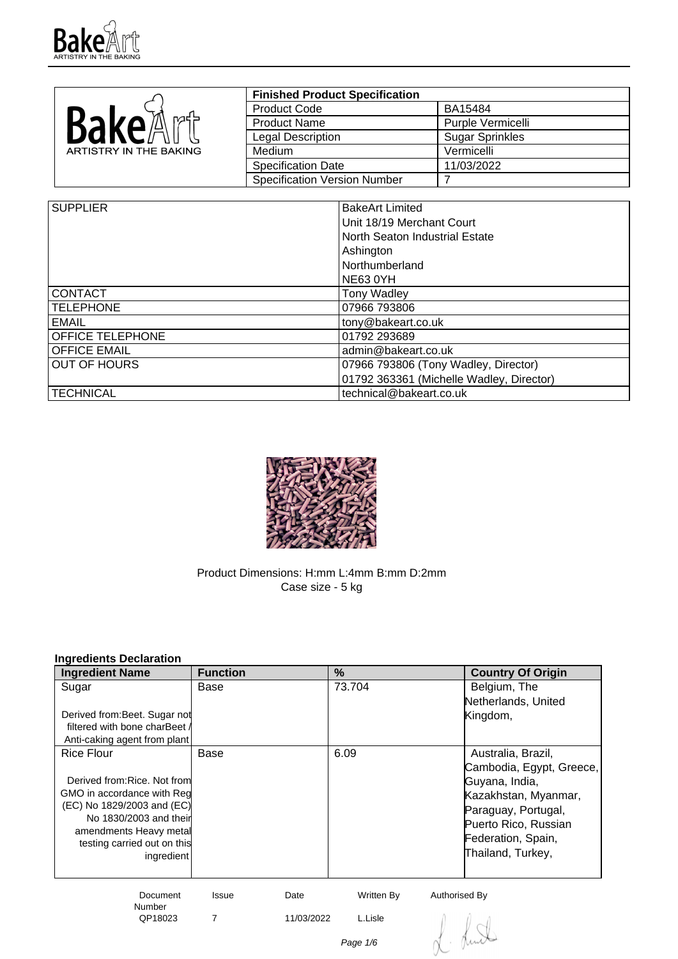

|                        | <b>Finished Product Specification</b> |                        |
|------------------------|---------------------------------------|------------------------|
| <b>Bake</b> A          | <b>Product Code</b>                   | BA15484                |
|                        | <b>Product Name</b>                   | Purple Vermicelli      |
|                        | Legal Description                     | <b>Sugar Sprinkles</b> |
| ARTISTRY IN THE BAKING | Medium                                | Vermicelli             |
|                        | Specification Date                    | 11/03/2022             |
|                        | Specification Version Number          |                        |

| <b>SUPPLIER</b>     | <b>BakeArt Limited</b>                   |
|---------------------|------------------------------------------|
|                     |                                          |
|                     | Unit 18/19 Merchant Court                |
|                     | North Seaton Industrial Estate           |
|                     | Ashington                                |
|                     | Northumberland                           |
|                     | NE63 0YH                                 |
| <b>CONTACT</b>      | <b>Tony Wadley</b>                       |
| <b>TELEPHONE</b>    | 07966 793806                             |
| <b>EMAIL</b>        | tony@bakeart.co.uk                       |
| OFFICE TELEPHONE    | 01792 293689                             |
| <b>OFFICE EMAIL</b> | admin@bakeart.co.uk                      |
| <b>OUT OF HOURS</b> | 07966 793806 (Tony Wadley, Director)     |
|                     | 01792 363361 (Michelle Wadley, Director) |
| TECHNICAL           | technical@bakeart.co.uk                  |



Product Dimensions: H:mm L:4mm B:mm D:2mm Case size - 5 kg

# **Ingredients Declaration**

| <b>Ingredient Name</b>        | <b>Function</b>      | $\%$       | <b>Country Of Origin</b> |
|-------------------------------|----------------------|------------|--------------------------|
| Sugar                         | Base                 | 73.704     | Belgium, The             |
|                               |                      |            | Netherlands, United      |
| Derived from: Beet. Sugar not |                      |            | Kingdom,                 |
| filtered with bone charBeet A |                      |            |                          |
| Anti-caking agent from plant  |                      |            |                          |
| Rice Flour                    | Base                 | 6.09       | Australia, Brazil,       |
|                               |                      |            | Cambodia, Egypt, Greece, |
| Derived from: Rice. Not from  |                      |            | Guyana, India,           |
| GMO in accordance with Red    |                      |            | Kazakhstan, Myanmar,     |
| (EC) No 1829/2003 and (EC)    |                      |            | Paraguay, Portugal,      |
| No 1830/2003 and their        |                      |            | Puerto Rico, Russian     |
| amendments Heavy metal        |                      |            | Federation, Spain,       |
| testing carried out on this   |                      |            |                          |
| ingredient                    |                      |            | Thailand, Turkey,        |
|                               |                      |            |                          |
| Document                      | Date<br><b>Issue</b> | Written By | Authorised By            |

Number<br>QP18023 7 11/03/2022 L.Lisle

Lund

Page 1/6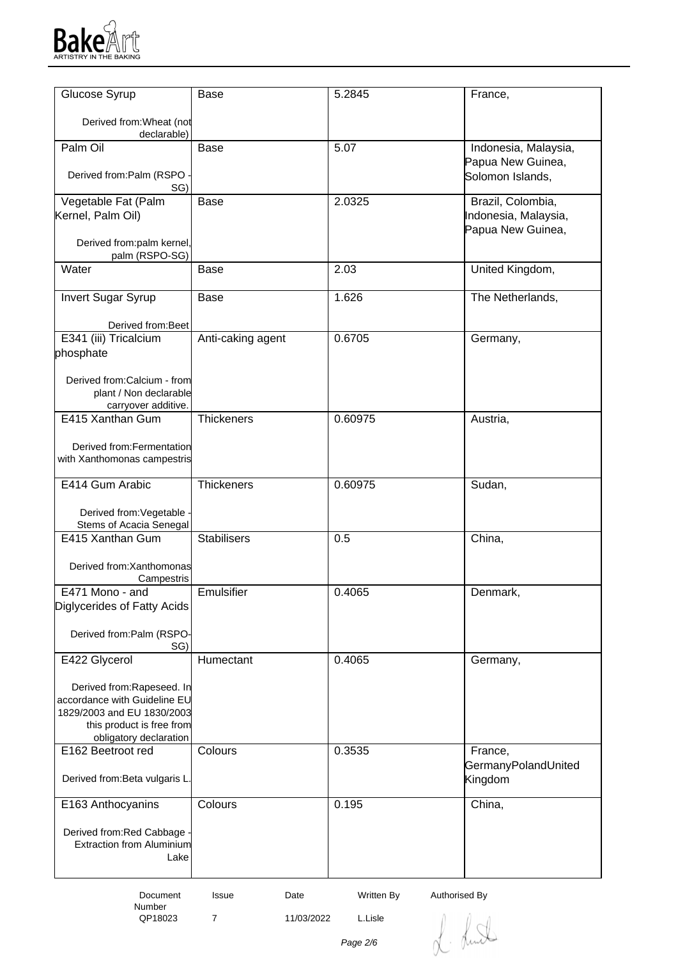

| Glucose Syrup                                         | <b>Base</b>        | 5.2845  | France,              |
|-------------------------------------------------------|--------------------|---------|----------------------|
| Derived from: Wheat (not                              |                    |         |                      |
| declarable)                                           |                    |         |                      |
| Palm Oil                                              | <b>Base</b>        | 5.07    | Indonesia, Malaysia, |
| Derived from:Palm (RSPO                               |                    |         | Papua New Guinea,    |
| SG)                                                   |                    |         | Solomon Islands,     |
| Vegetable Fat (Palm                                   | <b>Base</b>        | 2.0325  | Brazil, Colombia,    |
| Kernel, Palm Oil)                                     |                    |         | Indonesia, Malaysia, |
| Derived from:palm kernel,                             |                    |         | Papua New Guinea,    |
| palm (RSPO-SG)                                        |                    |         |                      |
| Water                                                 | <b>Base</b>        | 2.03    | United Kingdom,      |
|                                                       |                    |         |                      |
| <b>Invert Sugar Syrup</b>                             | Base               | 1.626   | The Netherlands,     |
| Derived from: Beet                                    |                    |         |                      |
| E341 (iii) Tricalcium                                 | Anti-caking agent  | 0.6705  | Germany,             |
| phosphate                                             |                    |         |                      |
|                                                       |                    |         |                      |
| Derived from:Calcium - from<br>plant / Non declarable |                    |         |                      |
| carryover additive.                                   |                    |         |                      |
| E415 Xanthan Gum                                      | Thickeners         | 0.60975 | Austria,             |
| Derived from: Fermentation                            |                    |         |                      |
| with Xanthomonas campestris                           |                    |         |                      |
|                                                       |                    |         |                      |
| E414 Gum Arabic                                       | Thickeners         | 0.60975 | Sudan,               |
| Derived from: Vegetable                               |                    |         |                      |
| Stems of Acacia Senegal                               |                    |         |                      |
| E415 Xanthan Gum                                      | <b>Stabilisers</b> | 0.5     | China,               |
| Derived from: Xanthomonas                             |                    |         |                      |
| Campestris                                            |                    |         |                      |
| E471 Mono - and                                       | Emulsifier         | 0.4065  | Denmark,             |
| Diglycerides of Fatty Acids                           |                    |         |                      |
| Derived from:Palm (RSPO-                              |                    |         |                      |
| SG)                                                   |                    |         |                      |
| E422 Glycerol                                         | Humectant          | 0.4065  | Germany,             |
| Derived from:Rapeseed. In                             |                    |         |                      |
| accordance with Guideline EU                          |                    |         |                      |
| 1829/2003 and EU 1830/2003                            |                    |         |                      |
| this product is free from<br>obligatory declaration   |                    |         |                      |
| E162 Beetroot red                                     | Colours            | 0.3535  | France,              |
|                                                       |                    |         | GermanyPolandUnited  |
| Derived from: Beta vulgaris L.                        |                    |         | Kingdom              |
| E163 Anthocyanins                                     | Colours            | 0.195   | China,               |
|                                                       |                    |         |                      |
| Derived from:Red Cabbage -                            |                    |         |                      |
| <b>Extraction from Aluminium</b><br>Lake              |                    |         |                      |
|                                                       |                    |         |                      |
|                                                       |                    |         |                      |

Number<br>QP18023

7 11/03/2022 L.Lisle

L. Lund

Page 2/6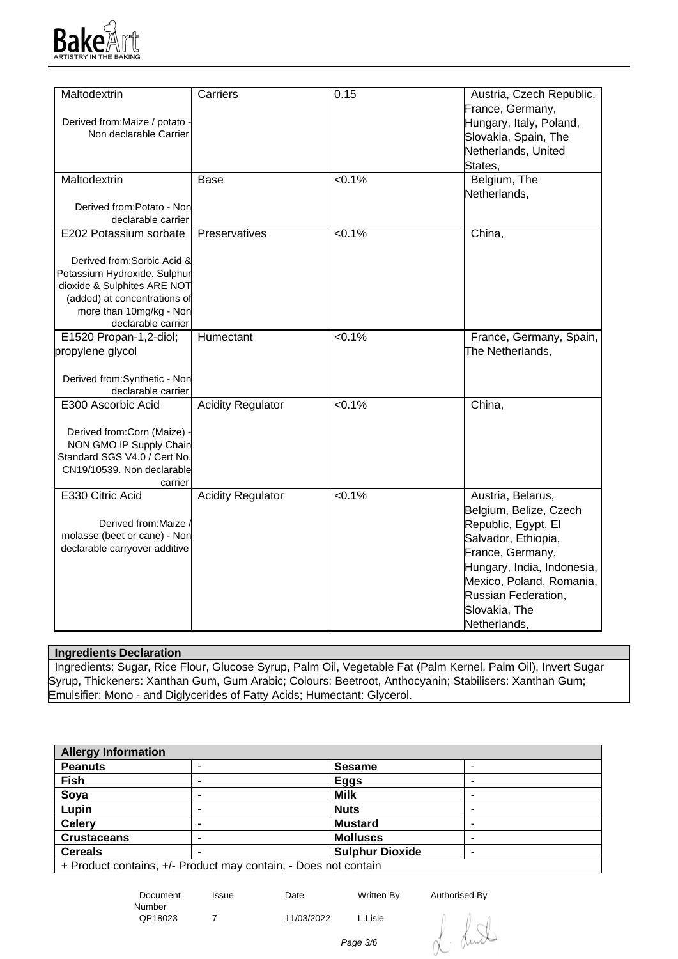

| Maltodextrin                   | Carriers                 | 0.15      | Austria, Czech Republic,   |
|--------------------------------|--------------------------|-----------|----------------------------|
|                                |                          |           | France, Germany,           |
| Derived from: Maize / potato - |                          |           | Hungary, Italy, Poland,    |
| Non declarable Carrier         |                          |           | Slovakia, Spain, The       |
|                                |                          |           | Netherlands, United        |
|                                |                          |           | States,                    |
| Maltodextrin                   | <b>Base</b>              | < 0.1%    | Belgium, The               |
|                                |                          |           | Netherlands,               |
| Derived from:Potato - Non      |                          |           |                            |
| declarable carrier             |                          |           |                            |
| E202 Potassium sorbate         | Preservatives            | $< 0.1\%$ | China,                     |
| Derived from: Sorbic Acid &    |                          |           |                            |
| Potassium Hydroxide. Sulphur   |                          |           |                            |
| dioxide & Sulphites ARE NOT    |                          |           |                            |
| (added) at concentrations of   |                          |           |                            |
| more than 10mg/kg - Non        |                          |           |                            |
| declarable carrier             |                          |           |                            |
| E1520 Propan-1,2-diol;         | Humectant                | $< 0.1\%$ | France, Germany, Spain,    |
| propylene glycol               |                          |           | The Netherlands,           |
| Derived from:Synthetic - Non   |                          |           |                            |
| declarable carrier             |                          |           |                            |
| E300 Ascorbic Acid             | <b>Acidity Regulator</b> | $< 0.1\%$ | China,                     |
|                                |                          |           |                            |
| Derived from:Corn (Maize)      |                          |           |                            |
| NON GMO IP Supply Chain        |                          |           |                            |
| Standard SGS V4.0 / Cert No.   |                          |           |                            |
| CN19/10539. Non declarable     |                          |           |                            |
| carrier                        |                          |           |                            |
| E330 Citric Acid               | <b>Acidity Regulator</b> | $< 0.1\%$ | Austria, Belarus,          |
|                                |                          |           | Belgium, Belize, Czech     |
| Derived from: Maize            |                          |           | Republic, Egypt, El        |
| molasse (beet or cane) - Non   |                          |           | Salvador, Ethiopia,        |
| declarable carryover additive  |                          |           | France, Germany,           |
|                                |                          |           | Hungary, India, Indonesia, |
|                                |                          |           | Mexico, Poland, Romania,   |
|                                |                          |           | Russian Federation,        |
|                                |                          |           | Slovakia, The              |
|                                |                          |           | Netherlands,               |

### **Ingredients Declaration**

 Ingredients: Sugar, Rice Flour, Glucose Syrup, Palm Oil, Vegetable Fat (Palm Kernel, Palm Oil), Invert Sugar Syrup, Thickeners: Xanthan Gum, Gum Arabic; Colours: Beetroot, Anthocyanin; Stabilisers: Xanthan Gum; Emulsifier: Mono - and Diglycerides of Fatty Acids; Humectant: Glycerol.

| <b>Allergy Information</b>                                      |   |                        |  |
|-----------------------------------------------------------------|---|------------------------|--|
| <b>Peanuts</b>                                                  |   | <b>Sesame</b>          |  |
| <b>Fish</b>                                                     |   | <b>Eggs</b>            |  |
| Soya                                                            |   | <b>Milk</b>            |  |
| Lupin                                                           | - | <b>Nuts</b>            |  |
| <b>Celery</b>                                                   |   | <b>Mustard</b>         |  |
| <b>Crustaceans</b>                                              |   | <b>Molluscs</b>        |  |
| <b>Cereals</b>                                                  |   | <b>Sulphur Dioxide</b> |  |
| + Product contains, +/- Product may contain, - Does not contain |   |                        |  |

Issue Date Written By Authorised By

Number<br>QP18023

Document

7 11/03/2022 L.Lisle

Page 3/6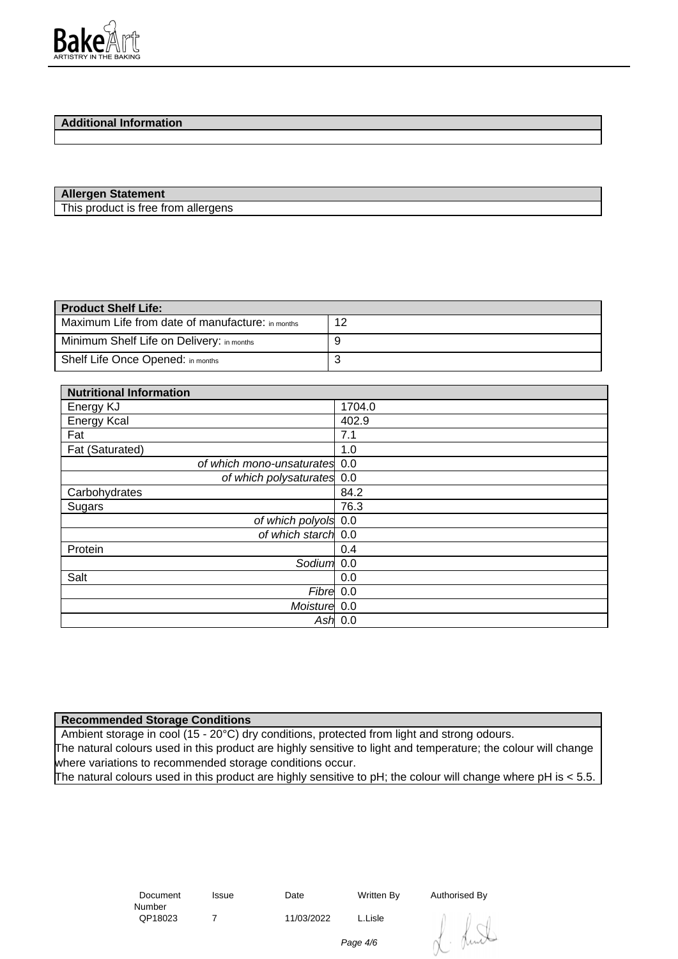

# **Additional Information**

#### **Allergen Statement**

This product is free from allergens

| <b>Product Shelf Life:</b>                       |    |  |
|--------------------------------------------------|----|--|
| Maximum Life from date of manufacture: in months | 12 |  |
| Minimum Shelf Life on Delivery: in months        |    |  |
| Shelf Life Once Opened: in months                | ັ  |  |

| <b>Nutritional Information</b> |           |
|--------------------------------|-----------|
| Energy KJ                      | 1704.0    |
| <b>Energy Kcal</b>             | 402.9     |
| Fat                            | 7.1       |
| Fat (Saturated)                | 1.0       |
| of which mono-unsaturates 0.0  |           |
| of which polysaturates 0.0     |           |
| Carbohydrates                  | 84.2      |
| Sugars                         | 76.3      |
| of which polyols 0.0           |           |
| of which starch 0.0            |           |
| Protein                        | 0.4       |
| Sodium 0.0                     |           |
| Salt                           | 0.0       |
| Fibre 0.0                      |           |
| Moisture 0.0                   |           |
|                                | Ash $0.0$ |

### **Recommended Storage Conditions**

Ambient storage in cool (15 - 20°C) dry conditions, protected from light and strong odours. The natural colours used in this product are highly sensitive to light and temperature; the colour will change where variations to recommended storage conditions occur. The natural colours used in this product are highly sensitive to pH; the colour will change where pH is < 5.5.

> Document Number<br>QP18023

7 11/03/2022 L.Lisle

Issue Date Written By Authorised By

Page 4/6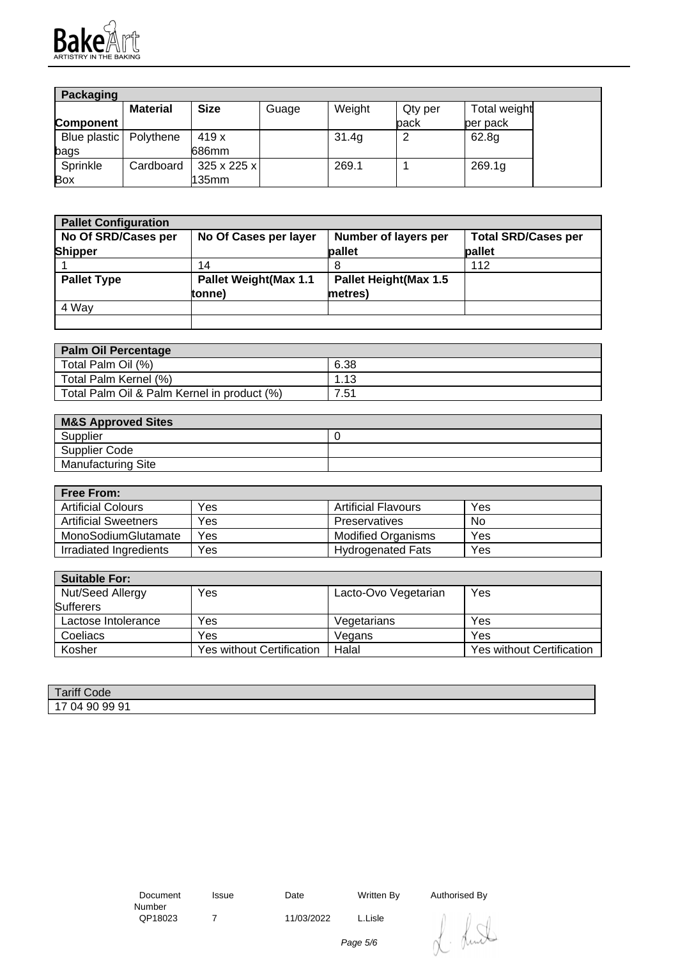

| Packaging                |                 |                         |       |        |         |              |
|--------------------------|-----------------|-------------------------|-------|--------|---------|--------------|
|                          | <b>Material</b> | <b>Size</b>             | Guage | Weight | Qty per | Total weight |
| <b>Component</b>         |                 |                         |       |        | back    | per pack     |
| Blue plastic   Polythene |                 | 419 x                   |       | 31.4g  |         | 62.8g        |
| bags                     |                 | 686mm                   |       |        |         |              |
| Sprinkle                 | Cardboard       | $325 \times 225 \times$ |       | 269.1  |         | 269.1g       |
| Box                      |                 | l135mm                  |       |        |         |              |

| <b>Pallet Configuration</b> |                               |                               |                            |
|-----------------------------|-------------------------------|-------------------------------|----------------------------|
| No Of SRD/Cases per         | No Of Cases per layer         | Number of layers per          | <b>Total SRD/Cases per</b> |
| <b>Shipper</b>              |                               | pallet                        | pallet                     |
|                             | 14                            | 8                             | 112                        |
| <b>Pallet Type</b>          | <b>Pallet Weight (Max 1.1</b> | <b>Pallet Height (Max 1.5</b> |                            |
|                             | tonne)                        | metres)                       |                            |
| 4 Way                       |                               |                               |                            |
|                             |                               |                               |                            |

| <b>Palm Oil Percentage</b>                  |      |
|---------------------------------------------|------|
| Total Palm Oil (%)                          | 6.38 |
| Total Palm Kernel (%)                       | .13  |
| Total Palm Oil & Palm Kernel in product (%) | 7.51 |

| <b>M&amp;S Approved Sites</b> |  |
|-------------------------------|--|
| Supplier                      |  |
| Supplier Code                 |  |
| <b>Manufacturing Site</b>     |  |

| <b>Free From:</b>           |     |                           |     |
|-----------------------------|-----|---------------------------|-----|
| <b>Artificial Colours</b>   | Yes | Artificial Flavours       | Yes |
| <b>Artificial Sweetners</b> | Yes | Preservatives             | No  |
| MonoSodiumGlutamate         | Yes | <b>Modified Organisms</b> | Yes |
| Irradiated Ingredients      | Yes | <b>Hydrogenated Fats</b>  | Yes |

| <b>Suitable For:</b> |                           |                      |                                  |
|----------------------|---------------------------|----------------------|----------------------------------|
| Nut/Seed Allergy     | Yes                       | Lacto-Ovo Vegetarian | Yes                              |
| <b>Sufferers</b>     |                           |                      |                                  |
| Lactose Intolerance  | Yes                       | Vegetarians          | Yes                              |
| Coeliacs             | Yes                       | Vegans               | Yes                              |
| Kosher               | Yes without Certification | Halal                | <b>Yes without Certification</b> |

| <b>Tariff Code</b>     |  |
|------------------------|--|
| 9991<br>90<br>ገ4<br>◡᠇ |  |

 Document Number<br>QP18023

7 11/03/2022 L.Lisle

Issue Date Written By Authorised By

. Luit

Page 5/6